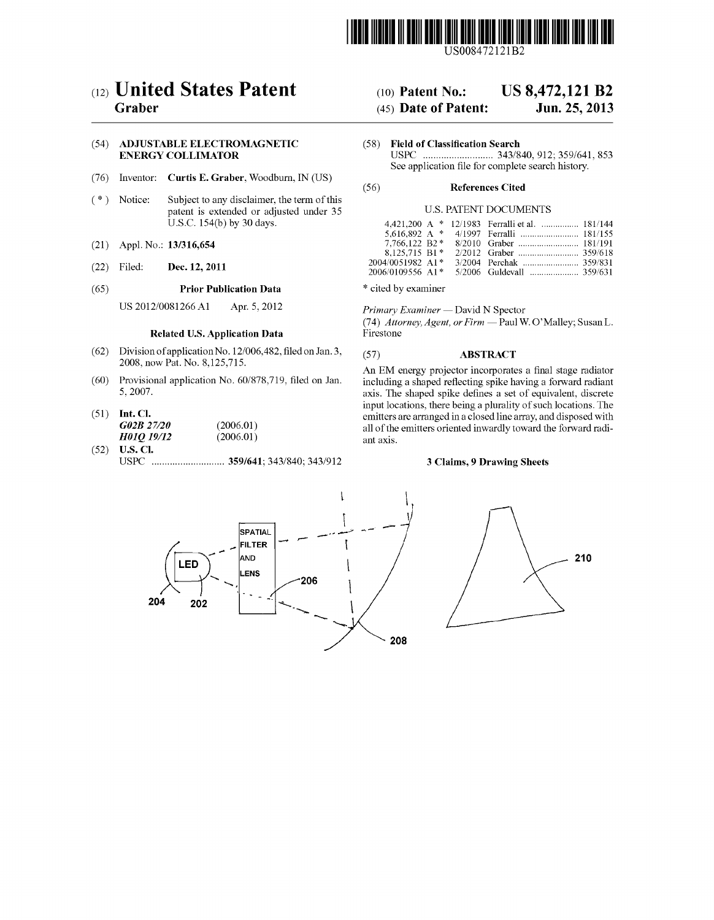

USOO8472121 B2

# (12) **United States Patent**<br>Graber

## (54) ADJUSTABLE ELECTROMAGNETIC (58) Field of Classification Search<br>ENERGY COLLIMATOR USPC (1997) USPC (1997)

- (76) Inventor: **Curtis E. Graber**, Woodburn, IN (US) (56) **References Cited**
- (\*) Notice: Subject to any disclaimer, the term of this patent is extended or adjusted under 35 U.S. PATENT DOCUMENTS U.S.C.  $154(b)$  by 30 days.
- 
- 

## (65) **Prior Publication Data** \* cited by examiner

US 2012/0081266 A1 Apr. 5, 2012 Primary Examiner — David N Spector

## Related U.S. Application Data

- (62) Division of application No. 12/006,482, filed on Jan. 3, (57) **ABSTRACT** 2008, now Pat. No. 8,125,715.
- 
- H01Q 19/12
- (52) U.S. Cl. USPC ............................ 359/641; 343/840; 343/912 3 Claims, 9 Drawing Sheets

## (10) Patent No.: US 8,472,121 B2<br>(45) Date of Patent: Jun. 25, 2013

## $(45)$  Date of Patent:

ENERGY COLLIMLATOR USPC ........................... 343/840, 912:359/641, 853 See application file for complete search history.

| 4,421,200 A $*$ 12/1983 Ferralli et al.  181/144 |
|--------------------------------------------------|
|                                                  |
|                                                  |
|                                                  |
|                                                  |
|                                                  |
|                                                  |

(74) Attorney, Agent, or Firm - Paul W. O'Malley; Susan L. Firestone

2006, now Pat. No. 8,125,715.<br>An EM energy projector incorporates a final stage radiator<br>Provisional application No. 60/878,719, filed on Jan. including a shaped reflecting spike having a forward radiant (60) Provisional application No. 60/878,719, filed on Jan. including a shaped reflecting spike having a forward radiant axis. The shaped spike defines a set of equivalent, discrete input locations, there being a plurality of such locations. The (51) Int. Cl. emitters are arranged in a closed line array, and disposed with<br>  $\frac{1}{202B\,27/20}$  (2006.01) all of the emitters oriented inwardly toward the forward radi- $(2006.01)$  all of the emitters oriented inwardly toward the forward radi-<br> $(2006.01)$ 

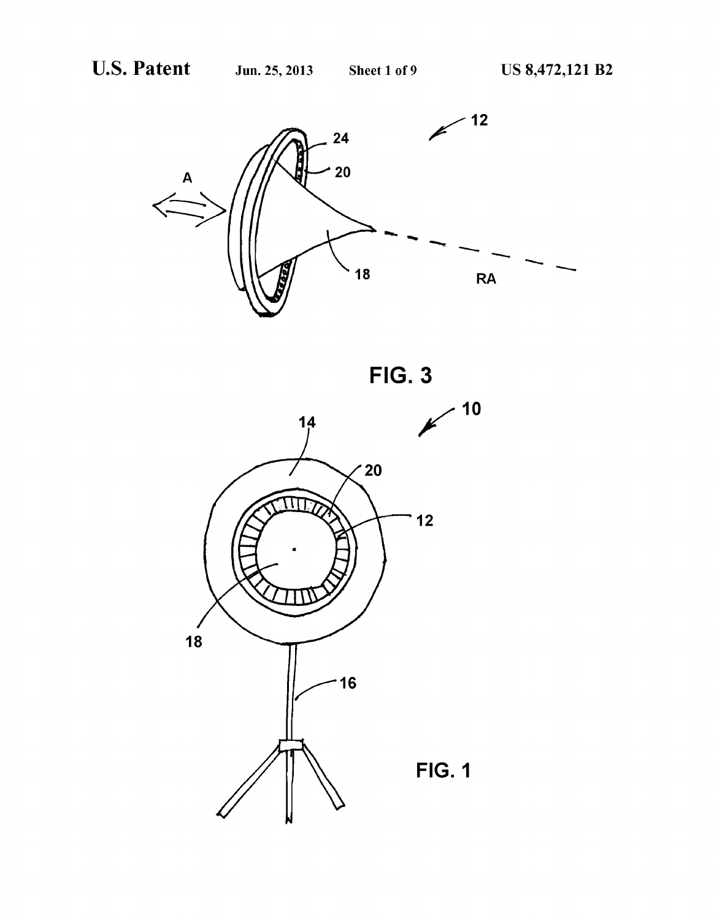

FIG. 3

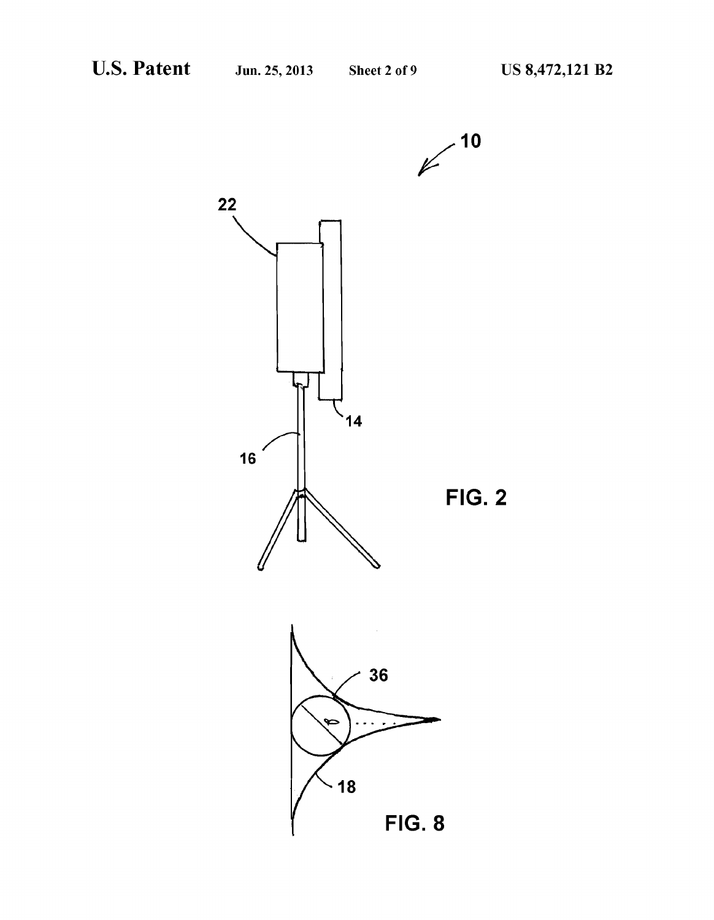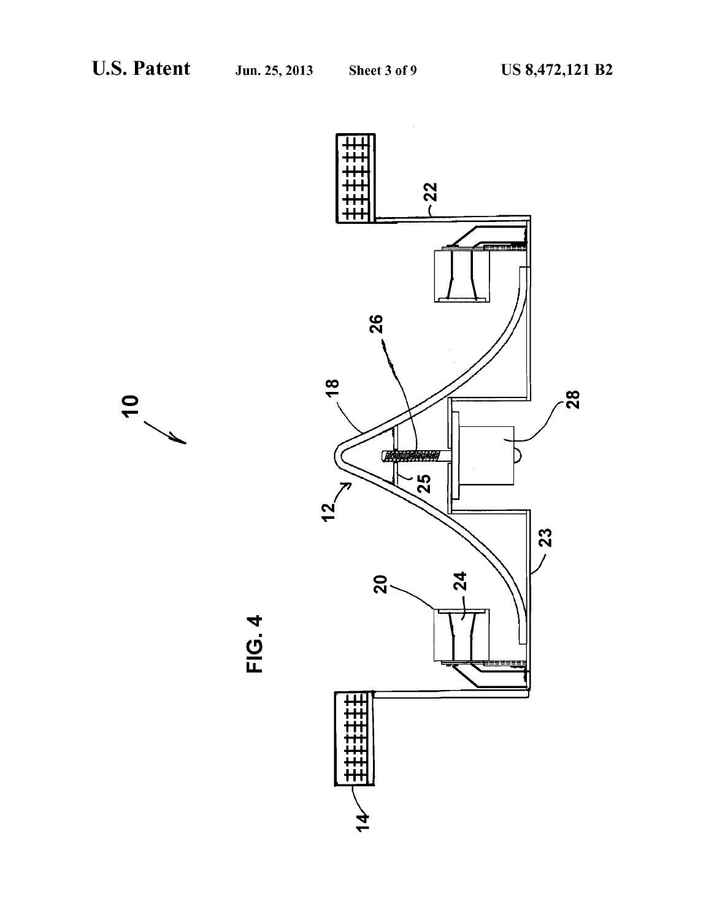

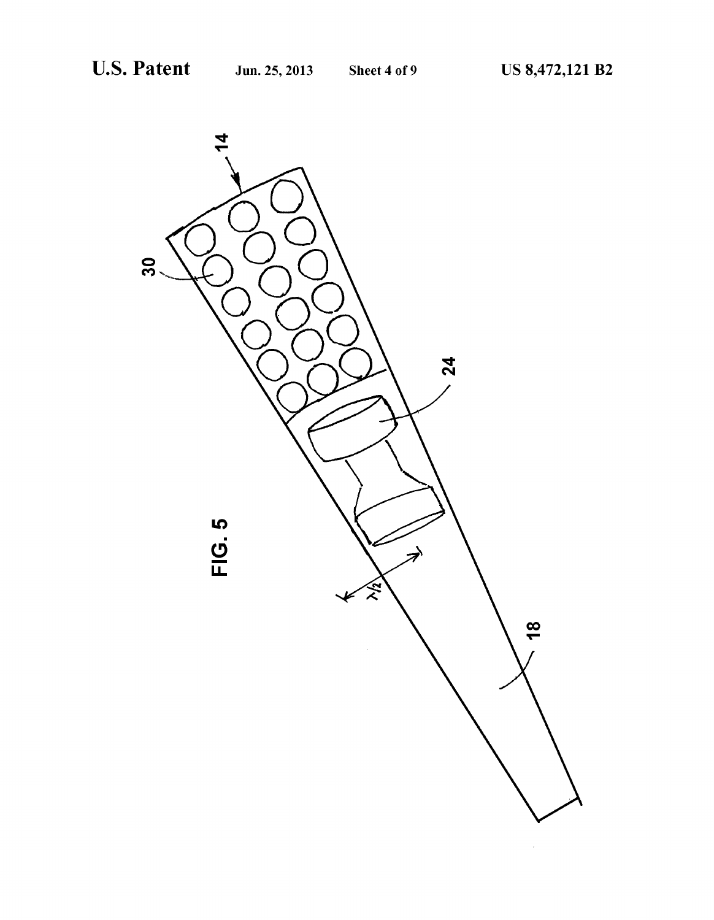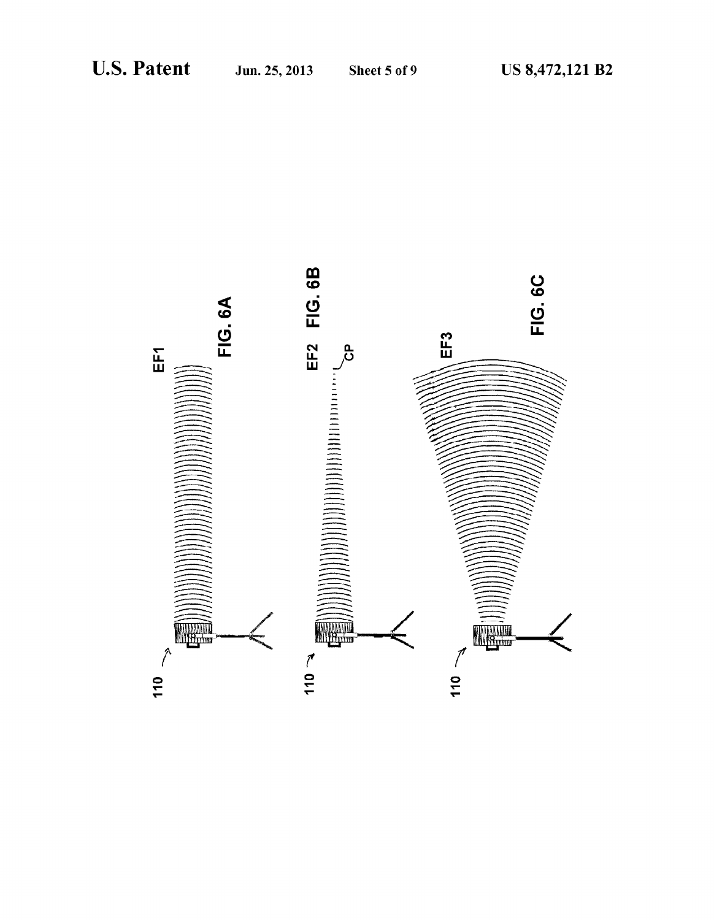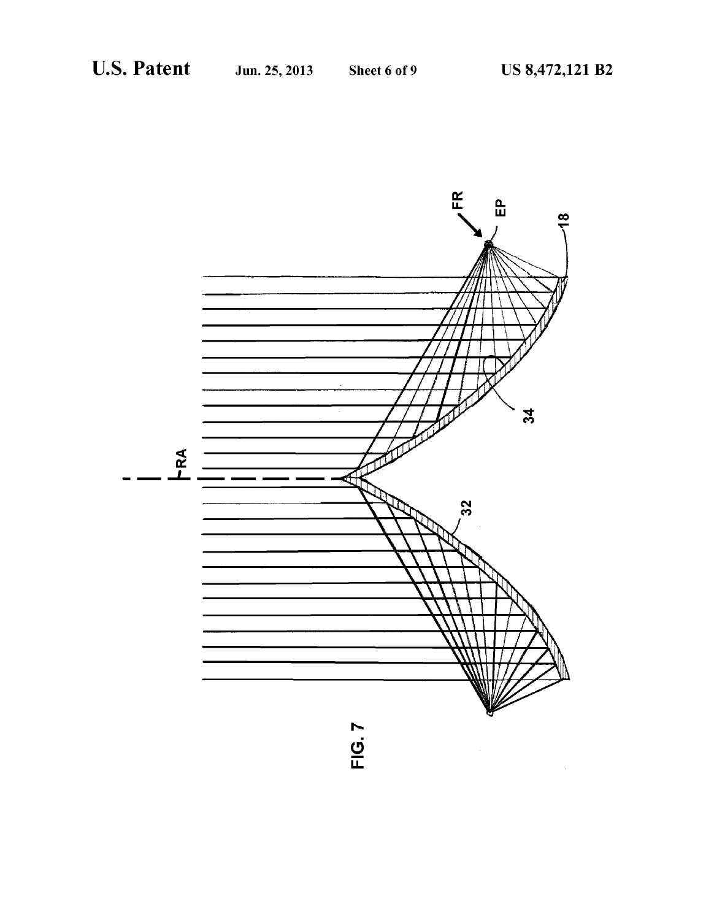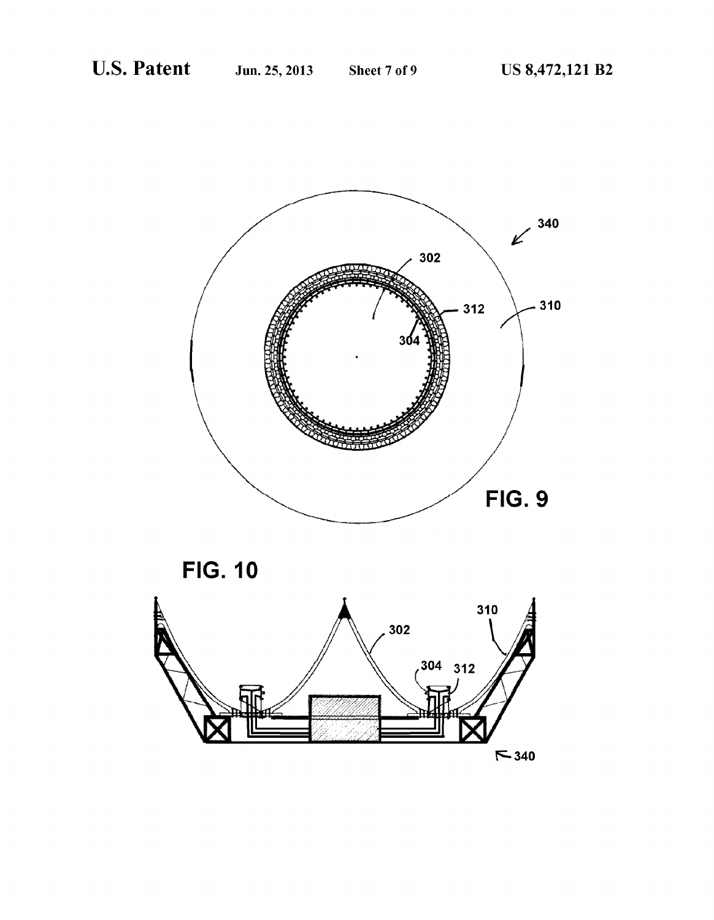

**FIG. 10** 

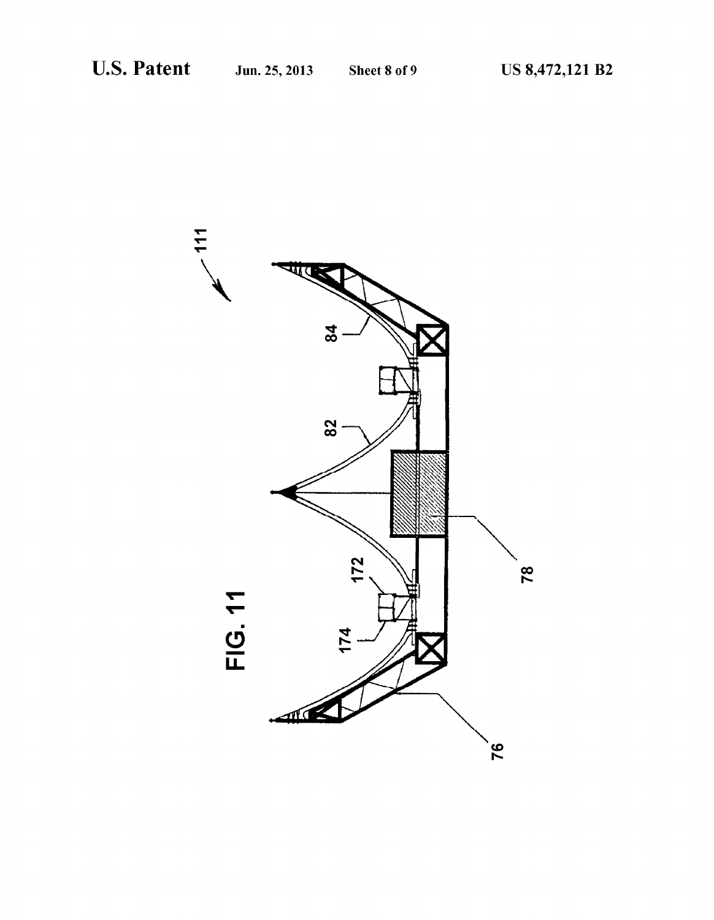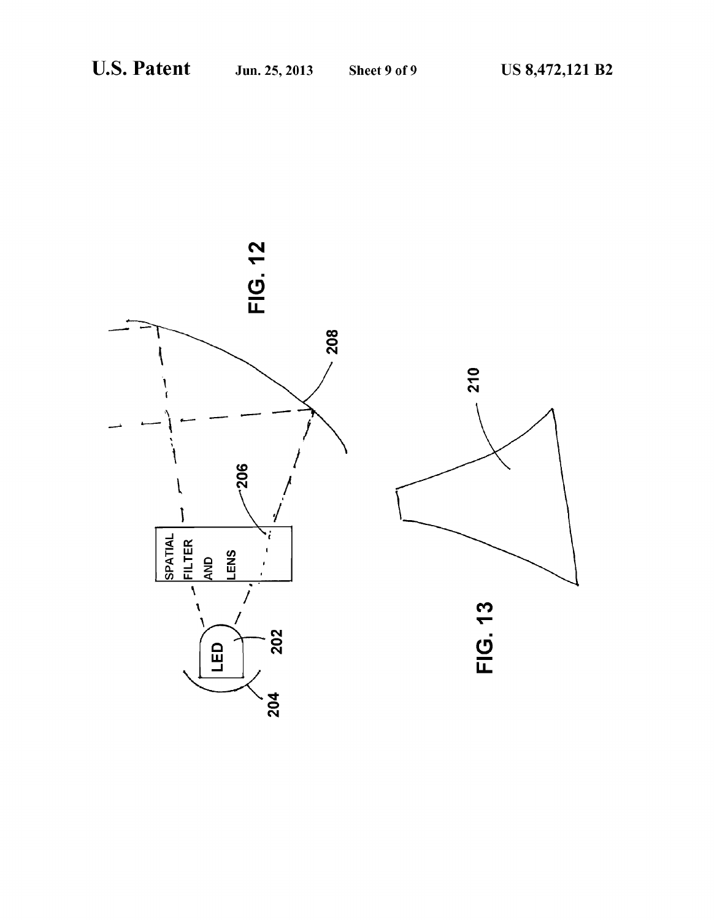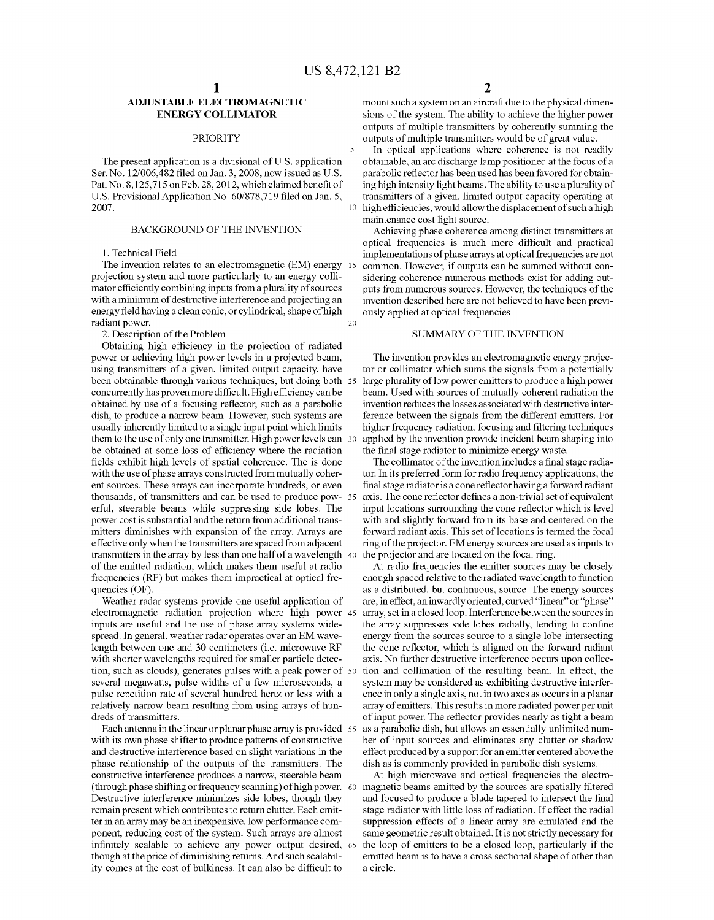10

20

## ADJUSTABLE ELECTROMAGNETIC ENERGY COLLIMATOR

## PRIORITY

The present application is a divisional of U.S. application Ser. No. 12/006,482 filed on Jan. 3, 2008, now issued as U.S. Pat. No. 8,125,715 on Feb. 28, 2012, which claimed benefit of U.S. Provisional Application No. 60/878,719 filed on Jan. 5, 2007.

### BACKGROUND OF THE INVENTION

1. Technical Field

projection system and more particularly to an energy collimator efficiently combining inputs from a plurality of sources with a minimum of destructive interference and projecting an energy field having a clean conic, or cylindrical, shape of high radiant power. The invention relates to an electromagnetic (EM) energy 15

2. Description of the Problem

Obtaining high efficiency in the projection of radiated power or achieving high power levels in a projected beam, using transmitters of a given, limited output capacity, have been obtainable through various techniques, but doing both 25 concurrently has proven more difficult. High efficiency can be dish, to produce a narrow beam. However, such systems are usually inherently limited to a single input point which limits them to the use of only one transmitter. High power levels can 30 be obtained at some loss of efficiency where the radiation fields exhibit high levels of spatial coherence. The is done with the use of phase arrays constructed from mutually coher ent sources. These arrays can incorporate hundreds, or even thousands, of transmitters and can be used to produce pow 35 erful, steerable beams while suppressing side lobes. The power cost is substantial and the return from additional trans mitters diminishes with expansion of the array. Arrays are effective only when the transmitters are spaced from adjacent effective only when the transmitters are spaced from adjacent transmitters in the array by less than one half of a wavelength 40 of the emitted radiation, which makes them useful at radio frequencies (RF) but makes them impractical at optical fre quencies (OF).

Weather radar systems provide one useful application of electromagnetic radiation projection where high power 45 inputs are useful and the use of phase array systems widespread. In general, weather radar operates over an EM wave length between one and 30 centimeters (i.e. microwave RF with shorter wavelengths required for smaller particle detec tion, Such as clouds), generates pulses with a peak power of 50 several megawatts, pulse widths of a few microseconds, a pulse repetition rate of several hundred hertz or less with a relatively narrow beam resulting from using arrays of hun dreds of transmitters.

with its own phase shifter to produce patterns of constructive and destructive interference based on slight variations in the phase relationship of the outputs of the transmitters. The constructive interference produces a narrow, steerable beam (through phase shifting or frequency scanning) of high power. 60 Destructive interference minimizes side lobes, though they remain present which contributes to return clutter. Each emit ter in an array may be an inexpensive, low performance com ponent, reducing cost of the system. Such arrays are almost infinitely scalable to achieve any power output desired, 65 though at the price of diminishing returns. And such scalability comes at the cost of bulkiness. It can also be difficult to Each antenna in the linear or planar phase array is provided 55

mount such a system on an aircraft due to the physical dimensions of the system. The ability to achieve the higher power outputs of multiple transmitters by coherently summing the outputs of multiple transmitters would be of great value.

In optical applications where coherence is not readily obtainable, an arc discharge lamp positioned at the focus of a parabolic reflector has been used has been favored for obtain ing high intensity light beams. The ability to use a plurality of transmitters of a given, limited output capacity operating at high efficiencies, would allow the displacement of such a high maintenance cost light source.

Achieving phase coherence among distinct transmitters at optical frequencies is much more difficult and practical implementations of phase arrays at optical frequencies are not common. However, if outputs can be Summed without con sidering coherence numerous methods exist for adding out puts from numerous sources. However, the techniques of the ously applied at optical frequencies.

## SUMMARY OF THE INVENTION

The invention provides an electromagnetic energy projec tor or collimator which sums the signals from a potentially large plurality of low power emitters to produce a high power beam. Used with sources of mutually coherent radiation the invention reduces the losses associated with destructive inter ference between the signals from the different emitters. For higher frequency radiation, focusing and filtering techniques applied by the invention provide incident beam shaping into the final stage radiator to minimize energy waste.

The collimator of the invention includes a final stage radia tor. In its preferred form for radio frequency applications, the final stage radiator is a cone reflector having a forward radiant<br>axis. The cone reflector defines a non-trivial set of equivalent input locations surrounding the cone reflector which is level with and slightly forward from its base and centered on the forward radiant axis. This set of locations is termed the focal ring of the projector. EM energy sources are used as inputs to the projector and are located on the focal ring.

At radio frequencies the emitter sources may be closely enough spaced relative to the radiated wavelength to function as a distributed, but continuous, source. The energy sources are, in effect, an inwardly oriented, curved "linear" or "phase" array, set in a closed loop. Interference between the sources in the array Suppresses side lobes radially, tending to confine energy from the sources source to a single lobe intersecting the cone reflector, which is aligned on the forward radiant axis. No further destructive interference occurs upon collec tion and collimation of the resulting beam. In effect, the system may be considered as exhibiting destructive interfer ence in only a single axis, not in two axes as occurs in a planar array of emitters. This results in more radiated power per unit of input power. The reflector provides nearly as tight a beam as a parabolic dish, but allows an essentially unlimited num ber of input sources and eliminates any clutter or shadow effect produced by a support for an emitter centered above the dish as is commonly provided in parabolic dish systems.

At high microwave and optical frequencies the electro magnetic beams emitted by the sources are spatially filtered and focused to produce a blade tapered to intersect the final stage radiator with little loss of radiation. If effect the radial suppression effects of a linear array are emulated and the same geometric result obtained. It is not strictly necessary for the loop of emitters to be a closed loop, particularly if the emitted beam is to have a cross sectional shape of other than a circle.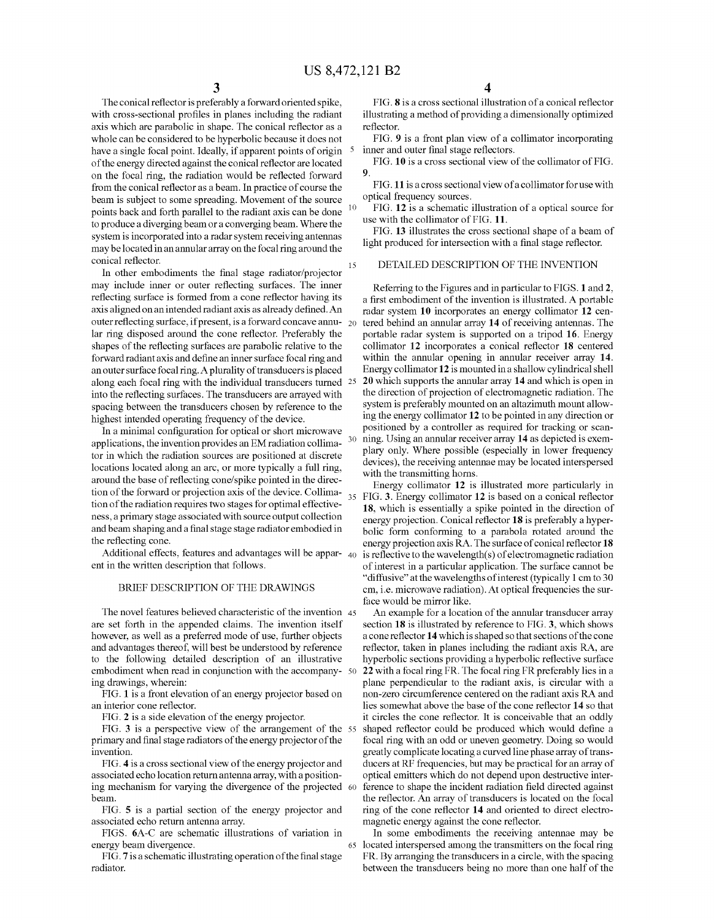The conical reflector is preferably a forward oriented spike, with cross-sectional profiles in planes including the radiant axis which are parabolic in shape. The conical reflector as a whole can be considered to be hyperbolic because it does not have a single focal point. Ideally, if apparent points of origin of the energy directed against the conical reflector are located on the focal ring, the radiation would be reflected forward from the conical reflector as a beam. In practice of course the beam is subject to some spreading. Movement of the source points back and forth parallel to the radiant axis can be done to produce a diverging beam or a converging beam. Where the system is incorporated into a radar system receiving antennas may be located in an annular array on the focal ring around the conical reflector. 10 15

In other embodiments the final stage radiator/projector may include inner or outer reflecting surfaces. The inner reflecting surface is formed from a cone reflector having its axis aligned on an intended radiant axis as already defined. An outer reflecting surface, if present, is a forward concave annu-  $_{20}$ lar ring disposed around the cone reflector. Preferably the shapes of the reflecting surfaces are parabolic relative to the forward radiant axis and define an inner Surface focal ring and an outer Surface focal ring. A plurality of transducers is placed along each focal ring with the individual transducers turned 25 into the reflecting surfaces. The transducers are arrayed with spacing between the transducers chosen by reference to the highest intended operating frequency of the device.

In a minimal configuration for optical or short microwave applications, the invention provides an EM radiation collima tor in which the radiation sources are positioned at discrete locations located along an arc, or more typically a full ring, around the base of reflecting cone/spike pointed in the direc tion of the forward or projection axis of the device. Collima- $_{35}$ tion of the radiation requires two stages for optimal effective ness, a primary stage associated with Source output collection and beam shaping and a final stage stage radiator embodied in the reflecting cone.

Additional effects, features and advantages will be appar-  $_{40}$ ent in the written description that follows.

## BRIEF DESCRIPTION OF THE DRAWINGS

The novel features believed characteristic of the invention 45 are set forth in the appended claims. The invention itself however, as well as a preferred mode of use, further objects and advantages thereof, will best be understood by reference to the following detailed description of an illustrative embodiment when read in conjunction with the accompany- 50 ing drawings, wherein:

FIG. 1 is a front elevation of an energy projector based on an interior cone reflector.

FIG. 2 is a side elevation of the energy projector.

FIG. 3 is a perspective view of the arrangement of the 55 primary and final stage radiators of the energy projector of the invention.

FIG. 4 is a cross sectional view of the energy projector and associated echo location return antenna array, with a positionassociated echo location return antenna array, with a position-<br>ing mechanism for varying the divergence of the projected 60 beam.

FIG. 5 is a partial section of the energy projector and associated echo return antenna array.

FIGS. 6A-C are schematic illustrations of variation in energy beam divergence.

65

FIG. 7 is a schematic illustrating operation of the final stage radiator.

4

FIG. 8 is a cross sectional illustration of a conical reflector illustrating a method of providing a dimensionally optimized reflector.

FIG. 9 is a front plan view of a collimator incorporating inner and outer final stage reflectors.

FIG. 10 is a cross sectional view of the collimator of FIG. 9.

FIG.11 is across sectional view of a collimator foruse with optical frequency sources.

FIG. 12 is a schematic illustration of a optical source for use with the collimator of FIG. 11.

FIG. 13 illustrates the cross sectional shape of a beam of light produced for intersection with a final stage reflector.

## DETAILED DESCRIPTION OF THE INVENTION

30 Referring to the Figures and in particular to FIGS. 1 and 2, a first embodiment of the invention is illustrated. A portable radar system 10 incorporates an energy collimator 12 centered behind an annular array 14 of receiving antennas. The portable radar system is supported on a tripod 16. Energy collimator 12 incorporates a conical reflector 18 centered within the annular opening in annular receiver array 14. Energy collimator 12 is mounted in a shallow cylindrical shell 20 which supports the annular array 14 and which is open in the direction of projection of electromagnetic radiation. The system is preferably mounted on an altazimuth mount allow ing the energy collimator 12 to be pointed in any direction or positioned by a controller as required for tracking or scan ning. Using an annular receiver array 14 as depicted is exem plary only. Where possible (especially in lower frequency devices), the receiving antennae may be located interspersed<br>with the transmitting horns.<br>Energy collimator 12 is illustrated more particularly in

Energy collimator 12 is illustrated more particularly in FIG. 3. Energy collimator 12 is based on a conical reflector 18, which is essentially a spike pointed in the direction of energy projection. Conical reflector 18 is preferably a hyper bolic form conforming to a parabola rotated around the energy projection axis RA. The surface of conical reflector 18 is reflective to the wavelength(s) of electromagnetic radiation of interest in a particular application. The Surface cannot be "diffusive' at the wavelengths of interest (typically 1 cm to 30 cm, i.e. microwave radiation). At optical frequencies the Sur face would be mirror like.

An example for a location of the annular transducer array section 18 is illustrated by reference to FIG. 3, which shows a cone reflector 14 which is shaped so that sections of the cone reflector, taken in planes including the radiant axis RA, are hyperbolic sections providing a hyperbolic reflective surface 22 with a focal ring FR. The focal ring FR preferably lies in a plane perpendicular to the radiant axis, is circular with a non-Zero circumference centered on the radiant axis RA and lies somewhat above the base of the cone reflector 14 so that it circles the cone reflector. It is conceivable that an oddly shaped reflector could be produced which would define a focal ring with an odd or uneven geometry. Doing so would greatly complicate locating a curved line phase array of trans ducers at RF frequencies, but may be practical for an array of optical emitters which do not depend upon destructive inter ference to shape the incident radiation field directed against the reflector. An array of transducers is located on the focal ring of the cone reflector 14 and oriented to direct electro magnetic energy against the cone reflector.

In some embodiments the receiving antennae may be located interspersed among the transmitters on the focal ring FR. By arranging the transducers in a circle, with the spacing between the transducers being no more than one half of the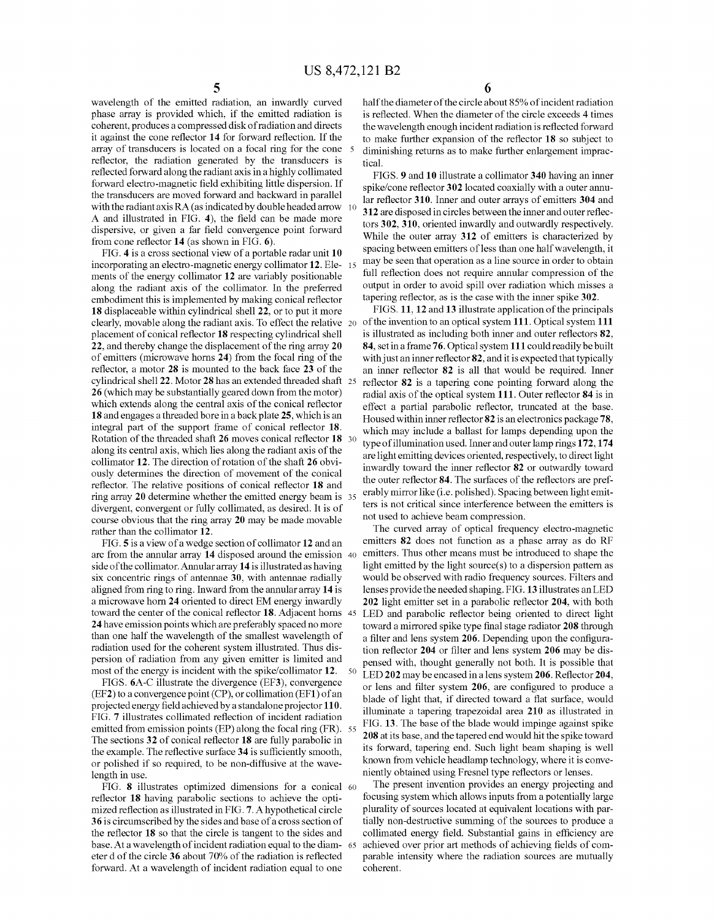wavelength of the emitted radiation, an inwardly curved phase array is provided which, if the emitted radiation is coherent, produces a compressed disk of radiation and directs it against the cone reflector 14 for forward reflection. If the array of transducers is located on a focal ring for the cone 5 reflector, the radiation generated by the transducers is reflected forward along the radiant axis in a highly collimated forward electro-magnetic field exhibiting little dispersion. If the transducers are moved forward and backward in parallel with the radiant axis  $RA$  (as indicated by double headed arrow  $\left(10\right)$ A and illustrated in FIG. 4), the field can be made more dispersive, or given a far field convergence point forward from cone reflector 14 (as shown in FIG. 6).

FIG. 4 is a cross sectional view of a portable radar unit 10 incorporating an electro-magnetic energy collimator 12. Ele- 15 ments of the energy collimator 12 are variably positionable along the radiant axis of the collimator. In the preferred embodiment this is implemented by making conical reflector 18 displaceable within cylindrical shell 22, or to put it more clearly, movable along the radiant axis. To effect the relative  $20\,$  of the invention to an optical system 111. Optical system 111 placement of conical reflector 18 respecting cylindrical shell 22, and thereby change the displacement of the ring array 20 of emitters (microwave horns 24) from the focal ring of the reflector, a motor 28 is mounted to the back face 23 of the cylindrical shell 22. Motor 28 has an extended threaded shaft 25 26 (which may be substantially geared down from the motor) which extends along the central axis of the conical reflector 18 and engages a threaded bore in a back plate 25, which is an integral part of the support frame of conical reflector 18. Rotation of the threaded shaft 26 moves conical reflector 18 30 along its central axis, which lies along the radiant axis of the collimator 12. The direction of rotation of the shaft 26 obvi ously determines the direction of movement of the conical reflector. The relative positions of conical reflector 18 and ring array 20 determine whether the emitted energy beam is 35 divergent, convergent or fully collimated, as desired. It is of course obvious that the ring array 20 may be made movable rather than the collimator 12.

FIG. 5 is a view of a wedge section of collimator 12 and an arc from the annular array 14 disposed around the emission 40 side of the collimator. Annular array 14 is illustrated as having six concentric rings of antennae 30, with antennae radially aligned from ring to ring. Inward from the annular array 14 is a microwave horn 24 oriented to direct EM energy inwardly toward the center of the conical reflector 18. Adjacent horns 45 24 have emission points which are preferably spaced no more than one half the wavelength of the smallest wavelength of radiation used for the coherent system illustrated. Thus dis persion of radiation from any given emitter is limited and most of the energy is incident with the spike/collimator 12. 50

FIGS. 6A-C illustrate the divergence (EF3), convergence (EF2) to a convergence point (CP), or collimation (EF1) of an projected energy field achieved by a standalone projector 110. FIG. 7 illustrates collimated reflection of incident radiation emitted from emission points (EP) along the focal ring (FR). 55 The sections 32 of conical reflector 18 are fully parabolic in the example. The reflective surface 34 is sufficiently smooth, or polished if so required, to be non-diffusive at the wave length in use.

FIG. 8 illustrates optimized dimensions for a conical 60 reflector 18 having parabolic sections to achieve the opti mized reflection as illustrated in FIG. 7. A hypothetical circle 36 is circumscribed by the sides and base of a cross section of the reflector 18 so that the circle is tangent to the sides and base. At a wavelength of incident radiation equal to the diam- 65 eter d of the circle 36 about 70% of the radiation is reflected forward. At a wavelength of incident radiation equal to one

half the diameter of the circle about 85% of incident radiation is reflected. When the diameter of the circle exceeds 4 times the wavelength enough incident radiation is reflected forward to make further expansion of the reflector 18 so subject to diminishing returns as to make further enlargement imprac tical.

FIGS. 9 and 10 illustrate a collimator 340 having an inner spike/cone reflector 302 located coaxially with a outer annu lar reflector 310. Inner and outer arrays of emitters 304 and 312 are disposed in circles between the inner and outer reflec tors 302, 310, oriented inwardly and outwardly respectively. While the outer array 312 of emitters is characterized by spacing between emitters of less than one half wavelength, it may be seen that operation as a line source in order to obtain full reflection does not require annular compression of the output in order to avoid spill over radiation which misses a tapering reflector, as is the case with the inner spike 302.

FIGS. 11, 12 and 13 illustrate application of the principals is illustrated as including both inner and outer reflectors 82, 84, set in a frame 76. Optical system 111 could readily be built with just an inner reflector 82, and it is expected that typically an inner reflector 82 is all that would be required. Inner reflector 82 is a tapering cone pointing forward along the radial axis of the optical system 111. Outer reflector 84 is in effect a partial parabolic reflector, truncated at the base. Housed within inner reflector 82 is an electronics package 78, which may include a ballast for lamps depending upon the type of illumination used. Inner and outer lamp rings 172,174 are light emitting devices oriented, respectively, to direct light inwardly toward the inner reflector 82 or outwardly toward the outer reflector 84. The surfaces of the reflectors are pref erably mirror like (i.e. polished). Spacing between light emit ters is not critical since interference between the emitters is not used to achieve beam compression.

The curved array of optical frequency electro-magnetic emitters 82 does not function as a phase array as do RF emitters. Thus other means must be introduced to shape the light emitted by the light source(s) to a dispersion pattern as would be observed with radio frequency sources. Filters and lenses provide the needed shaping. FIG. 13 illustrates an LED 202 light emitter set in a parabolic reflector 204, with both LED and parabolic reflector being oriented to direct light toward a mirrored spike type final stage radiator 208 through a filter and lens system 206. Depending upon the configura tion reflector 204 or filter and lens system 206 may be dis pensed with, thought generally not both. It is possible that LED 202 may be encased in a lens system 206. Reflector 204, or lens and filter system 206, are configured to produce a blade of light that, if directed toward a flat surface, would illuminate a tapering trapezoidal area 210 as illustrated in FIG. 13. The base of the blade would impinge against spike 208 at its base, and the tapered end would hit the spike toward its forward, tapering end. Such light beam shaping is well known from vehicle headlamp technology, where it is conve niently obtained using Fresnel type reflectors or lenses.

The present invention provides an energy projecting and focusing system which allows inputs from a potentially large plurality of Sources located at equivalent locations with par tially non-destructive summing of the sources to produce a collimated energy field. Substantial gains in efficiency are achieved over prior art methods of achieving fields of com parable intensity where the radiation sources are mutually coherent.